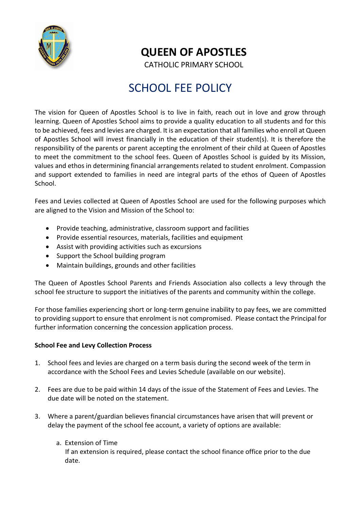

# **QUEEN OF APOSTLES**

CATHOLIC PRIMARY SCHOOL

# SCHOOL FEE POLICY

 The vision for Queen of Apostles School is to live in faith, reach out in love and grow through learning. Queen of Apostles School aims to provide a quality education to all students and for this to be achieved, fees and levies are charged. It is an expectation that all families who enroll at Queen of Apostles School will invest financially in the education of their student(s). It is therefore the responsibility of the parents or parent accepting the enrolment of their child at Queen of Apostles to meet the commitment to the school fees. Queen of Apostles School is guided by its Mission, values and ethos in determining financial arrangements related to student enrolment. Compassion and support extended to families in need are integral parts of the ethos of Queen of Apostles School.

Fees and Levies collected at Queen of Apostles School are used for the following purposes which are aligned to the Vision and Mission of the School to:

- Provide teaching, administrative, classroom support and facilities
- Provide essential resources, materials, facilities and equipment
- Assist with providing activities such as excursions
- Support the School building program
- Maintain buildings, grounds and other facilities

The Queen of Apostles School Parents and Friends Association also collects a levy through the school fee structure to support the initiatives of the parents and community within the college.

For those families experiencing short or long-term genuine inability to pay fees, we are committed to providing support to ensure that enrolment is not compromised. Please contact the Principal for further information concerning the concession application process.

### **School Fee and Levy Collection Process**

- 1. School fees and levies are charged on a term basis during the second week of the term in accordance with the School Fees and Levies Schedule (available on our website).
- 2. Fees are due to be paid within 14 days of the issue of the Statement of Fees and Levies. The due date will be noted on the statement.
- 3. Where a parent/guardian believes financial circumstances have arisen that will prevent or delay the payment of the school fee account, a variety of options are available:
	- a. Extension of Time

 If an extension is required, please contact the school finance office prior to the due date.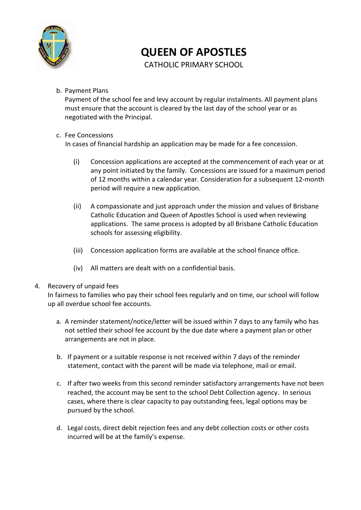

# **QUEEN OF APOSTLES**

CATHOLIC PRIMARY SCHOOL

b. Payment Plans

Payment of the school fee and levy account by regular instalments. All payment plans must ensure that the account is cleared by the last day of the school year or as negotiated with the Principal.

### c. Fee Concessions

In cases of financial hardship an application may be made for a fee concession.

- (i) Concession applications are accepted at the commencement of each year or at any point initiated by the family. Concessions are issued for a maximum period of 12 months within a calendar year. Consideration for a subsequent 12-month period will require a new application.
- (ii) A compassionate and just approach under the mission and values of Brisbane Catholic Education and Queen of Apostles School is used when reviewing applications. The same process is adopted by all Brisbane Catholic Education schools for assessing eligibility.
- (iii) Concession application forms are available at the school finance office.
- (iv) All matters are dealt with on a confidential basis.

### 4. Recovery of unpaid fees

In fairness to families who pay their school fees regularly and on time, our school will follow up all overdue school fee accounts.

- a. A reminder statement/notice/letter will be issued within 7 days to any family who has not settled their school fee account by the due date where a payment plan or other arrangements are not in place.
- b. If payment or a suitable response is not received within 7 days of the reminder statement, contact with the parent will be made via telephone, mail or email.
- c. If after two weeks from this second reminder satisfactory arrangements have not been reached, the account may be sent to the school Debt Collection agency. In serious cases, where there is clear capacity to pay outstanding fees, legal options may be pursued by the school.
- d. Legal costs, direct debit rejection fees and any debt collection costs or other costs incurred will be at the family's expense.